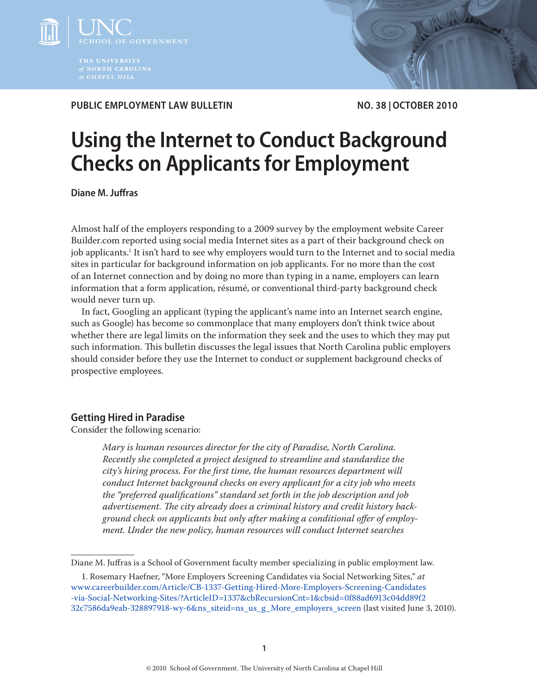

**PUBLIC EMPLOYMENT LAW BULLETIN** NO. 38 | OCTOBER 2010

# **Using the Internet to Conduct Background Checks on Applicants for Employment**

**Diane M. Juffras**

Almost half of the employers responding to a 2009 survey by the employment website Career Builder.com reported using social media Internet sites as a part of their background check on job applicants.<sup>1</sup> It isn't hard to see why employers would turn to the Internet and to social media sites in particular for background information on job applicants. For no more than the cost of an Internet connection and by doing no more than typing in a name, employers can learn information that a form application, résumé, or conventional third-party background check would never turn up.

In fact, Googling an applicant (typing the applicant's name into an Internet search engine, such as Google) has become so commonplace that many employers don't think twice about whether there are legal limits on the information they seek and the uses to which they may put such information. This bulletin discusses the legal issues that North Carolina public employers should consider before they use the Internet to conduct or supplement background checks of prospective employees.

## **Getting Hired in Paradise**

Consider the following scenario:

*Mary is human resources director for the city of Paradise, North Carolina. Recently she completed a project designed to streamline and standardize the city's hiring process. For the first time, the human resources department will conduct Internet background checks on every applicant for a city job who meets the "preferred qualifications" standard set forth in the job description and job advertisement. The city already does a criminal history and credit history background check on applicants but only after making a conditional offer of employment. Under the new policy, human resources will conduct Internet searches* 

Diane M. Juffras is a School of Government faculty member specializing in public employment law.

<sup>1.</sup> Rosemary Haefner, "More Employers Screening Candidates via Social Networking Sites," *at* [www.careerbuilder.com/Article/CB-1337-Getting-Hired-More-Employers-Screening-Candidates](www.careerbuilder.com/Article/CB-1337-Getting-Hired-More-Employers-Screening-Candidates-via-Social-Networking-Sites/?ArticleID=1337&cbRecursionCnt=1&cbsid=0f88ad6913c04dd89f232c7586da9eab-328897918-wy-6&ns_siteid=ns_us_g_More_employers_screen) [-via-Social-Networking-Sites/?ArticleID=1337&cbRecursionCnt=1&cbsid=0f88ad6913c04dd89f2](www.careerbuilder.com/Article/CB-1337-Getting-Hired-More-Employers-Screening-Candidates-via-Social-Networking-Sites/?ArticleID=1337&cbRecursionCnt=1&cbsid=0f88ad6913c04dd89f232c7586da9eab-328897918-wy-6&ns_siteid=ns_us_g_More_employers_screen) [32c7586da9eab-328897918-wy-6&ns\\_siteid=ns\\_us\\_g\\_More\\_employers\\_screen](www.careerbuilder.com/Article/CB-1337-Getting-Hired-More-Employers-Screening-Candidates-via-Social-Networking-Sites/?ArticleID=1337&cbRecursionCnt=1&cbsid=0f88ad6913c04dd89f232c7586da9eab-328897918-wy-6&ns_siteid=ns_us_g_More_employers_screen) (last visited June 3, 2010).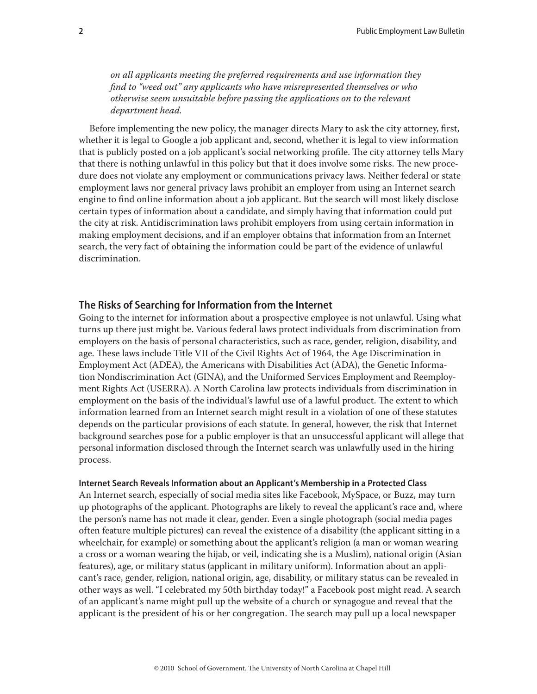*on all applicants meeting the preferred requirements and use information they find to "weed out" any applicants who have misrepresented themselves or who otherwise seem unsuitable before passing the applications on to the relevant department head.*

Before implementing the new policy, the manager directs Mary to ask the city attorney, first, whether it is legal to Google a job applicant and, second, whether it is legal to view information that is publicly posted on a job applicant's social networking profile. The city attorney tells Mary that there is nothing unlawful in this policy but that it does involve some risks. The new procedure does not violate any employment or communications privacy laws. Neither federal or state employment laws nor general privacy laws prohibit an employer from using an Internet search engine to find online information about a job applicant. But the search will most likely disclose certain types of information about a candidate, and simply having that information could put the city at risk. Antidiscrimination laws prohibit employers from using certain information in making employment decisions, and if an employer obtains that information from an Internet search, the very fact of obtaining the information could be part of the evidence of unlawful discrimination.

## **The Risks of Searching for Information from the Internet**

Going to the internet for information about a prospective employee is not unlawful. Using what turns up there just might be. Various federal laws protect individuals from discrimination from employers on the basis of personal characteristics, such as race, gender, religion, disability, and age. These laws include Title VII of the Civil Rights Act of 1964, the Age Discrimination in Employment Act (ADEA), the Americans with Disabilities Act (ADA), the Genetic Information Nondiscrimination Act (GINA), and the Uniformed Services Employment and Reemployment Rights Act (USERRA). A North Carolina law protects individuals from discrimination in employment on the basis of the individual's lawful use of a lawful product. The extent to which information learned from an Internet search might result in a violation of one of these statutes depends on the particular provisions of each statute. In general, however, the risk that Internet background searches pose for a public employer is that an unsuccessful applicant will allege that personal information disclosed through the Internet search was unlawfully used in the hiring process.

## **Internet Search Reveals Information about an Applicant's Membership in a Protected Class**

An Internet search, especially of social media sites like Facebook, MySpace, or Buzz, may turn up photographs of the applicant. Photographs are likely to reveal the applicant's race and, where the person's name has not made it clear, gender. Even a single photograph (social media pages often feature multiple pictures) can reveal the existence of a disability (the applicant sitting in a wheelchair, for example) or something about the applicant's religion (a man or woman wearing a cross or a woman wearing the hijab, or veil, indicating she is a Muslim), national origin (Asian features), age, or military status (applicant in military uniform). Information about an applicant's race, gender, religion, national origin, age, disability, or military status can be revealed in other ways as well. "I celebrated my 50th birthday today!" a Facebook post might read. A search of an applicant's name might pull up the website of a church or synagogue and reveal that the applicant is the president of his or her congregation. The search may pull up a local newspaper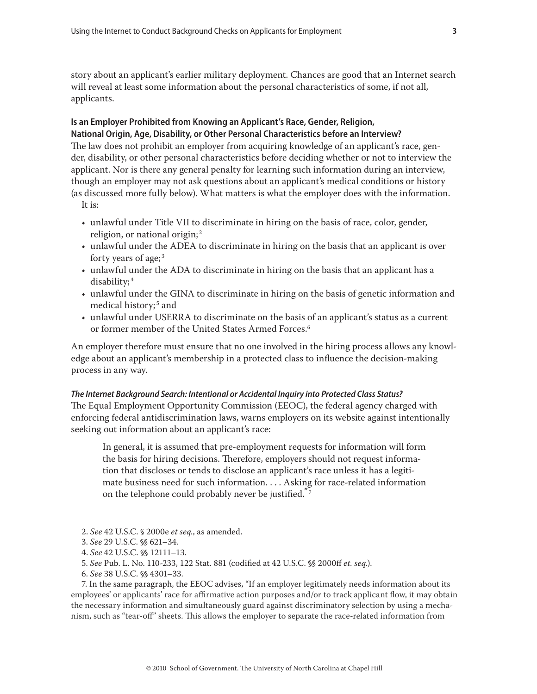story about an applicant's earlier military deployment. Chances are good that an Internet search will reveal at least some information about the personal characteristics of some, if not all, applicants.

## **Is an Employer Prohibited from Knowing an Applicant's Race, Gender, Religion, National Origin, Age, Disability, or Other Personal Characteristics before an Interview?**

The law does not prohibit an employer from acquiring knowledge of an applicant's race, gender, disability, or other personal characteristics before deciding whether or not to interview the applicant. Nor is there any general penalty for learning such information during an interview, though an employer may not ask questions about an applicant's medical conditions or history (as discussed more fully below). What matters is what the employer does with the information.

- It is:
- unlawful under Title VII to discriminate in hiring on the basis of race, color, gender, religion, or national origin; <sup>2</sup>
- unlawful under the ADEA to discriminate in hiring on the basis that an applicant is over forty years of age; <sup>3</sup>
- unlawful under the ADA to discriminate in hiring on the basis that an applicant has a disability; <sup>4</sup>
- unlawful under the GINA to discriminate in hiring on the basis of genetic information and medical history;<sup>5</sup> and
- unlawful under USERRA to discriminate on the basis of an applicant's status as a current or former member of the United States Armed Forces.<sup>6</sup>

An employer therefore must ensure that no one involved in the hiring process allows any knowledge about an applicant's membership in a protected class to influence the decision-making process in any way.

## *The Internet Background Search: Intentional or Accidental Inquiry into Protected Class Status?*

The Equal Employment Opportunity Commission (EEOC), the federal agency charged with enforcing federal antidiscrimination laws, warns employers on its website against intentionally seeking out information about an applicant's race:

In general, it is assumed that pre-employment requests for information will form the basis for hiring decisions. Therefore, employers should not request information that discloses or tends to disclose an applicant's race unless it has a legitimate business need for such information. . . . Asking for race-related information on the telephone could probably never be justified.<sup>"7</sup>

<sup>2.</sup> *See* 42 U.S.C. § 2000e *et seq.*, as amended.

<sup>3.</sup> *See* 29 U.S.C. §§ 621–34.

<sup>4.</sup> *See* 42 U.S.C. §§ 12111–13.

<sup>5.</sup> *See* Pub. L. No. 110-233, 122 Stat. 881 (codified at 42 U.S.C. §§ 2000ff *et. seq.*).

<sup>6.</sup> *See* 38 U.S.C. §§ 4301–33.

<sup>7.</sup> In the same paragraph, the EEOC advises, "If an employer legitimately needs information about its employees' or applicants' race for affirmative action purposes and/or to track applicant flow, it may obtain the necessary information and simultaneously guard against discriminatory selection by using a mechanism, such as "tear-off" sheets. This allows the employer to separate the race-related information from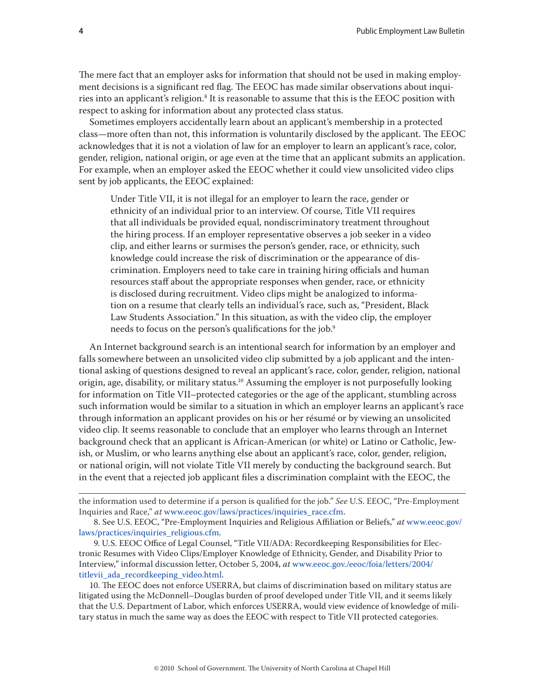The mere fact that an employer asks for information that should not be used in making employment decisions is a significant red flag. The EEOC has made similar observations about inquiries into an applicant's religion. $^{\rm 8}$  It is reasonable to assume that this is the EEOC position with respect to asking for information about any protected class status.

Sometimes employers accidentally learn about an applicant's membership in a protected class—more often than not, this information is voluntarily disclosed by the applicant. The EEOC acknowledges that it is not a violation of law for an employer to learn an applicant's race, color, gender, religion, national origin, or age even at the time that an applicant submits an application. For example, when an employer asked the EEOC whether it could view unsolicited video clips sent by job applicants, the EEOC explained:

Under Title VII, it is not illegal for an employer to learn the race, gender or ethnicity of an individual prior to an interview. Of course, Title VII requires that all individuals be provided equal, nondiscriminatory treatment throughout the hiring process. If an employer representative observes a job seeker in a video clip, and either learns or surmises the person's gender, race, or ethnicity, such knowledge could increase the risk of discrimination or the appearance of discrimination. Employers need to take care in training hiring officials and human resources staff about the appropriate responses when gender, race, or ethnicity is disclosed during recruitment. Video clips might be analogized to information on a resume that clearly tells an individual's race, such as, "President, Black Law Students Association." In this situation, as with the video clip, the employer needs to focus on the person's qualifications for the job.<sup>9</sup>

An Internet background search is an intentional search for information by an employer and falls somewhere between an unsolicited video clip submitted by a job applicant and the intentional asking of questions designed to reveal an applicant's race, color, gender, religion, national origin, age, disability, or military status.<sup>10</sup> Assuming the employer is not purposefully looking for information on Title VII–protected categories or the age of the applicant, stumbling across such information would be similar to a situation in which an employer learns an applicant's race through information an applicant provides on his or her résumé or by viewing an unsolicited video clip. It seems reasonable to conclude that an employer who learns through an Internet background check that an applicant is African-American (or white) or Latino or Catholic, Jewish, or Muslim, or who learns anything else about an applicant's race, color, gender, religion, or national origin, will not violate Title VII merely by conducting the background search. But in the event that a rejected job applicant files a discrimination complaint with the EEOC, the

10. The EEOC does not enforce USERRA, but claims of discrimination based on military status are litigated using the McDonnell–Douglas burden of proof developed under Title VII, and it seems likely that the U.S. Department of Labor, which enforces USERRA, would view evidence of knowledge of military status in much the same way as does the EEOC with respect to Title VII protected categories.

the information used to determine if a person is qualified for the job." *See* U.S. EEOC, "Pre-Employment Inquiries and Race," *at* [www.eeoc.gov/laws/practices/inquiries\\_race.cfm.](www.eeoc.gov/laws/practices/inquiries_race.cfm)

<sup>8.</sup> See U.S. EEOC, "Pre-Employment Inquiries and Religious Affiliation or Beliefs," *at* [www.eeoc.gov/](www.eeoc.gov/laws/practices/inquiries_religious.cfm) [laws/practices/inquiries\\_religious.cfm.](www.eeoc.gov/laws/practices/inquiries_religious.cfm)

<sup>9.</sup> U.S. EEOC Office of Legal Counsel, "Title VII/ADA: Recordkeeping Responsibilities for Electronic Resumes with Video Clips/Employer Knowledge of Ethnicity, Gender, and Disability Prior to Interview," informal discussion letter, October 5, 2004, *at* [www.eeoc.gov./eeoc/foia/letters/2004/](www.eeoc.gov./eeoc/foia/letters/2004/titlevii_ada_recordkeeping_video.html) titlevii ada recordkeeping video.html.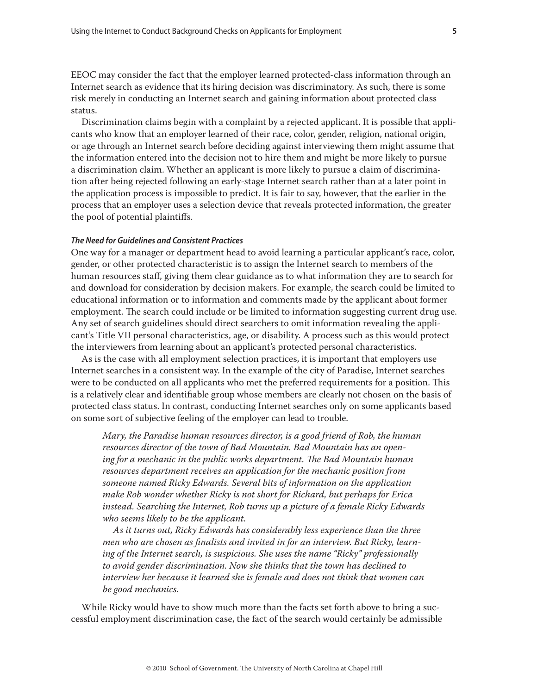EEOC may consider the fact that the employer learned protected-class information through an Internet search as evidence that its hiring decision was discriminatory. As such, there is some risk merely in conducting an Internet search and gaining information about protected class status.

Discrimination claims begin with a complaint by a rejected applicant. It is possible that applicants who know that an employer learned of their race, color, gender, religion, national origin, or age through an Internet search before deciding against interviewing them might assume that the information entered into the decision not to hire them and might be more likely to pursue a discrimination claim. Whether an applicant is more likely to pursue a claim of discrimination after being rejected following an early-stage Internet search rather than at a later point in the application process is impossible to predict. It is fair to say, however, that the earlier in the process that an employer uses a selection device that reveals protected information, the greater the pool of potential plaintiffs.

## *The Need for Guidelines and Consistent Practices*

One way for a manager or department head to avoid learning a particular applicant's race, color, gender, or other protected characteristic is to assign the Internet search to members of the human resources staff, giving them clear guidance as to what information they are to search for and download for consideration by decision makers. For example, the search could be limited to educational information or to information and comments made by the applicant about former employment. The search could include or be limited to information suggesting current drug use. Any set of search guidelines should direct searchers to omit information revealing the applicant's Title VII personal characteristics, age, or disability. A process such as this would protect the interviewers from learning about an applicant's protected personal characteristics.

As is the case with all employment selection practices, it is important that employers use Internet searches in a consistent way. In the example of the city of Paradise, Internet searches were to be conducted on all applicants who met the preferred requirements for a position. This is a relatively clear and identifiable group whose members are clearly not chosen on the basis of protected class status. In contrast, conducting Internet searches only on some applicants based on some sort of subjective feeling of the employer can lead to trouble.

*Mary, the Paradise human resources director, is a good friend of Rob, the human resources director of the town of Bad Mountain. Bad Mountain has an opening for a mechanic in the public works department. The Bad Mountain human resources department receives an application for the mechanic position from someone named Ricky Edwards. Several bits of information on the application make Rob wonder whether Ricky is not short for Richard, but perhaps for Erica instead. Searching the Internet, Rob turns up a picture of a female Ricky Edwards who seems likely to be the applicant.*

*As it turns out, Ricky Edwards has considerably less experience than the three men who are chosen as finalists and invited in for an interview. But Ricky, learning of the Internet search, is suspicious. She uses the name "Ricky" professionally to avoid gender discrimination. Now she thinks that the town has declined to interview her because it learned she is female and does not think that women can be good mechanics.*

While Ricky would have to show much more than the facts set forth above to bring a successful employment discrimination case, the fact of the search would certainly be admissible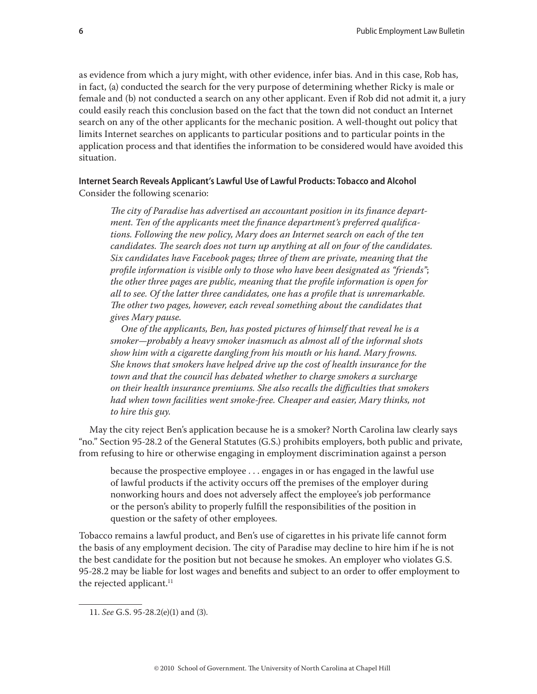as evidence from which a jury might, with other evidence, infer bias. And in this case, Rob has, in fact, (a) conducted the search for the very purpose of determining whether Ricky is male or female and (b) not conducted a search on any other applicant. Even if Rob did not admit it, a jury could easily reach this conclusion based on the fact that the town did not conduct an Internet search on any of the other applicants for the mechanic position. A well-thought out policy that limits Internet searches on applicants to particular positions and to particular points in the application process and that identifies the information to be considered would have avoided this situation.

## **Internet Search Reveals Applicant's Lawful Use of Lawful Products: Tobacco and Alcohol** Consider the following scenario:

*The city of Paradise has advertised an accountant position in its finance department. Ten of the applicants meet the finance department's preferred qualifications. Following the new policy, Mary does an Internet search on each of the ten candidates. The search does not turn up anything at all on four of the candidates. Six candidates have Facebook pages; three of them are private, meaning that the profile information is visible only to those who have been designated as "friends"*; *the other three pages are public, meaning that the profile information is open for all to see. Of the latter three candidates, one has a profile that is unremarkable. The other two pages, however, each reveal something about the candidates that gives Mary pause.*

*One of the applicants, Ben, has posted pictures of himself that reveal he is a smoker—probably a heavy smoker inasmuch as almost all of the informal shots show him with a cigarette dangling from his mouth or his hand. Mary frowns. She knows that smokers have helped drive up the cost of health insurance for the town and that the council has debated whether to charge smokers a surcharge on their health insurance premiums. She also recalls the difficulties that smokers had when town facilities went smoke-free. Cheaper and easier, Mary thinks, not to hire this guy.*

May the city reject Ben's application because he is a smoker? North Carolina law clearly says "no." Section 95-28.2 of the General Statutes (G.S.) prohibits employers, both public and private, from refusing to hire or otherwise engaging in employment discrimination against a person

because the prospective employee . . . engages in or has engaged in the lawful use of lawful products if the activity occurs off the premises of the employer during nonworking hours and does not adversely affect the employee's job performance or the person's ability to properly fulfill the responsibilities of the position in question or the safety of other employees.

Tobacco remains a lawful product, and Ben's use of cigarettes in his private life cannot form the basis of any employment decision. The city of Paradise may decline to hire him if he is not the best candidate for the position but not because he smokes. An employer who violates G.S. 95-28.2 may be liable for lost wages and benefits and subject to an order to offer employment to the rejected applicant.<sup>11</sup>

<sup>11.</sup> *See* G.S. 95-28.2(e)(1) and (3).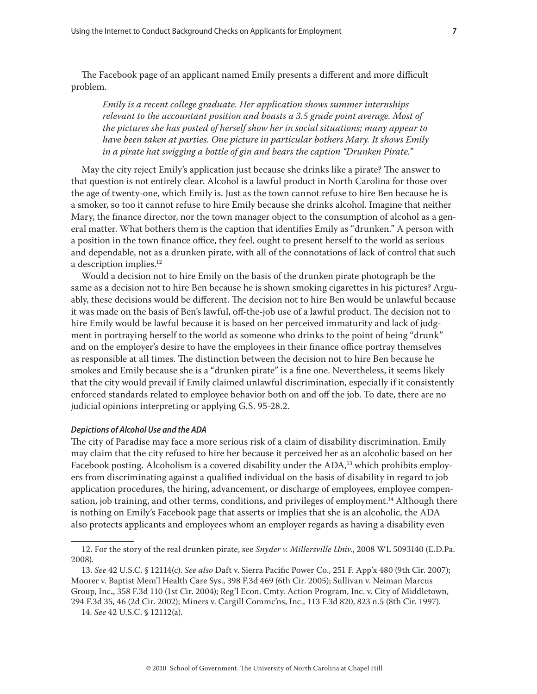The Facebook page of an applicant named Emily presents a different and more difficult problem.

*Emily is a recent college graduate. Her application shows summer internships relevant to the accountant position and boasts a 3.5 grade point average. Most of the pictures she has posted of herself show her in social situations; many appear to have been taken at parties. One picture in particular bothers Mary. It shows Emily in a pirate hat swigging a bottle of gin and bears the caption "Drunken Pirate."*

May the city reject Emily's application just because she drinks like a pirate? The answer to that question is not entirely clear. Alcohol is a lawful product in North Carolina for those over the age of twenty-one, which Emily is. Just as the town cannot refuse to hire Ben because he is a smoker, so too it cannot refuse to hire Emily because she drinks alcohol. Imagine that neither Mary, the finance director, nor the town manager object to the consumption of alcohol as a general matter. What bothers them is the caption that identifies Emily as "drunken." A person with a position in the town finance office, they feel, ought to present herself to the world as serious and dependable, not as a drunken pirate, with all of the connotations of lack of control that such a description implies.<sup>12</sup>

Would a decision not to hire Emily on the basis of the drunken pirate photograph be the same as a decision not to hire Ben because he is shown smoking cigarettes in his pictures? Arguably, these decisions would be different. The decision not to hire Ben would be unlawful because it was made on the basis of Ben's lawful, off-the-job use of a lawful product. The decision not to hire Emily would be lawful because it is based on her perceived immaturity and lack of judgment in portraying herself to the world as someone who drinks to the point of being "drunk" and on the employer's desire to have the employees in their finance office portray themselves as responsible at all times. The distinction between the decision not to hire Ben because he smokes and Emily because she is a "drunken pirate" is a fine one. Nevertheless, it seems likely that the city would prevail if Emily claimed unlawful discrimination, especially if it consistently enforced standards related to employee behavior both on and off the job. To date, there are no judicial opinions interpreting or applying G.S. 95-28.2.

#### *Depictions of Alcohol Use and the ADA*

The city of Paradise may face a more serious risk of a claim of disability discrimination. Emily may claim that the city refused to hire her because it perceived her as an alcoholic based on her Facebook posting. Alcoholism is a covered disability under the ADA,<sup>13</sup> which prohibits employers from discriminating against a qualified individual on the basis of disability in regard to job application procedures, the hiring, advancement, or discharge of employees, employee compensation, job training, and other terms, conditions, and privileges of employment.<sup>14</sup> Although there is nothing on Emily's Facebook page that asserts or implies that she is an alcoholic, the ADA also protects applicants and employees whom an employer regards as having a disability even

<sup>12.</sup> For the story of the real drunken pirate, see *Snyder v. Millersville Univ.*, 2008 WL 5093140 (E.D.Pa. 2008).

<sup>13.</sup> *See* 42 U.S.C. § 12114(c). *See also* Daft v. Sierra Pacific Power Co., 251 F. App'x 480 (9th Cir. 2007); Moorer v. Baptist Mem'l Health Care Sys., 398 F.3d 469 (6th Cir. 2005); Sullivan v. Neiman Marcus Group, Inc**.**, 358 F.3d 110 (1st Cir. 2004); Reg'l Econ. Cmty. Action Program, Inc. v. City of Middletown, 294 F.3d 35, 46 (2d Cir. 2002); Miners v. Cargill Commc'ns, Inc., 113 F.3d 820, 823 n.5 (8th Cir. 1997).

<sup>14.</sup> *See* 42 U.S.C. § 12112(a).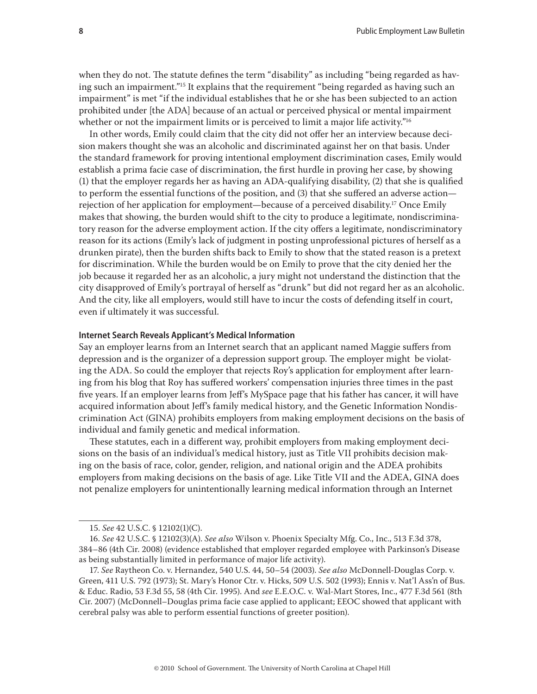when they do not. The statute defines the term "disability" as including "being regarded as having such an impairment."15 It explains that the requirement "being regarded as having such an impairment" is met "if the individual establishes that he or she has been subjected to an action prohibited under [the ADA] because of an actual or perceived physical or mental impairment whether or not the impairment limits or is perceived to limit a major life activity."<sup>16</sup>

In other words, Emily could claim that the city did not offer her an interview because decision makers thought she was an alcoholic and discriminated against her on that basis. Under the standard framework for proving intentional employment discrimination cases, Emily would establish a prima facie case of discrimination, the first hurdle in proving her case, by showing (1) that the employer regards her as having an ADA-qualifying disability, (2) that she is qualified to perform the essential functions of the position, and (3) that she suffered an adverse action rejection of her application for employment—because of a perceived disability.17 Once Emily makes that showing, the burden would shift to the city to produce a legitimate, nondiscriminatory reason for the adverse employment action. If the city offers a legitimate, nondiscriminatory reason for its actions (Emily's lack of judgment in posting unprofessional pictures of herself as a drunken pirate), then the burden shifts back to Emily to show that the stated reason is a pretext for discrimination. While the burden would be on Emily to prove that the city denied her the job because it regarded her as an alcoholic, a jury might not understand the distinction that the city disapproved of Emily's portrayal of herself as "drunk" but did not regard her as an alcoholic. And the city, like all employers, would still have to incur the costs of defending itself in court, even if ultimately it was successful.

#### **Internet Search Reveals Applicant's Medical Information**

Say an employer learns from an Internet search that an applicant named Maggie suffers from depression and is the organizer of a depression support group. The employer might be violating the ADA. So could the employer that rejects Roy's application for employment after learning from his blog that Roy has suffered workers' compensation injuries three times in the past five years. If an employer learns from Jeff's MySpace page that his father has cancer, it will have acquired information about Jeff's family medical history, and the Genetic Information Nondiscrimination Act (GINA) prohibits employers from making employment decisions on the basis of individual and family genetic and medical information.

These statutes, each in a different way, prohibit employers from making employment decisions on the basis of an individual's medical history, just as Title VII prohibits decision making on the basis of race, color, gender, religion, and national origin and the ADEA prohibits employers from making decisions on the basis of age. Like Title VII and the ADEA, GINA does not penalize employers for unintentionally learning medical information through an Internet

<sup>15.</sup> *See* 42 U.S.C. § 12102(1)(C).

<sup>16.</sup> *See* 42 U.S.C. § 12102(3)(A). *See also* Wilson v. Phoenix Specialty Mfg. Co., Inc., 513 F.3d 378, 384–86 (4th Cir. 2008) (evidence established that employer regarded employee with Parkinson's Disease as being substantially limited in performance of major life activity).

<sup>17.</sup> *See* Raytheon Co. v. Hernandez, 540 U.S. 44, 50–54 (2003). *See also* McDonnell-Douglas Corp. v. Green, 411 U.S. 792 (1973); St. Mary's Honor Ctr. v. Hicks, 509 U.S. 502 (1993); Ennis v. Nat'l Ass'n of Bus. & Educ. Radio, 53 F.3d 55, 58 (4th Cir. 1995). And *see* E.E.O.C. v. Wal-Mart Stores, Inc., 477 F.3d 561 (8th Cir. 2007) (McDonnell–Douglas prima facie case applied to applicant; EEOC showed that applicant with cerebral palsy was able to perform essential functions of greeter position).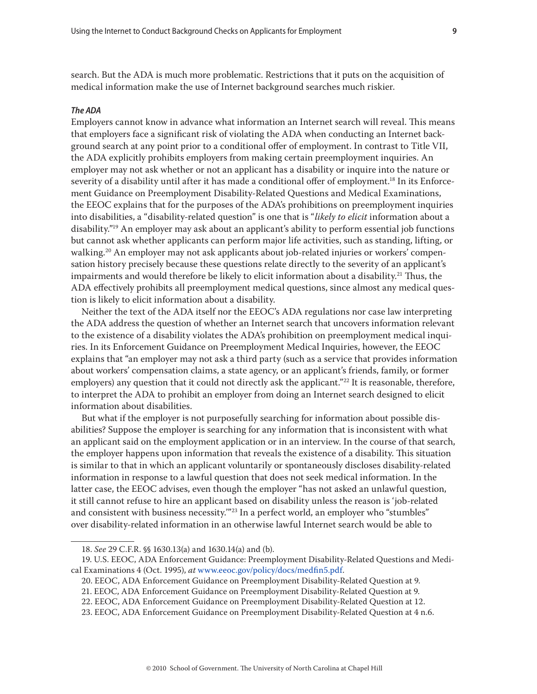search. But the ADA is much more problematic. Restrictions that it puts on the acquisition of medical information make the use of Internet background searches much riskier.

## *The ADA*

Employers cannot know in advance what information an Internet search will reveal. This means that employers face a significant risk of violating the ADA when conducting an Internet background search at any point prior to a conditional offer of employment. In contrast to Title VII, the ADA explicitly prohibits employers from making certain preemployment inquiries. An employer may not ask whether or not an applicant has a disability or inquire into the nature or severity of a disability until after it has made a conditional offer of employment.<sup>18</sup> In its Enforcement Guidance on Preemployment Disability-Related Questions and Medical Examinations, the EEOC explains that for the purposes of the ADA's prohibitions on preemployment inquiries into disabilities, a "disability-related question" is one that is "*likely to elicit* information about a disability."19 An employer may ask about an applicant's ability to perform essential job functions but cannot ask whether applicants can perform major life activities, such as standing, lifting, or walking.<sup>20</sup> An employer may not ask applicants about job-related injuries or workers' compensation history precisely because these questions relate directly to the severity of an applicant's impairments and would therefore be likely to elicit information about a disability.<sup>21</sup> Thus, the ADA effectively prohibits all preemployment medical questions, since almost any medical question is likely to elicit information about a disability.

Neither the text of the ADA itself nor the EEOC's ADA regulations nor case law interpreting the ADA address the question of whether an Internet search that uncovers information relevant to the existence of a disability violates the ADA's prohibition on preemployment medical inquiries. In its Enforcement Guidance on Preemployment Medical Inquiries, however, the EEOC explains that "an employer may not ask a third party (such as a service that provides information about workers' compensation claims, a state agency, or an applicant's friends, family, or former employers) any question that it could not directly ask the applicant."<sup>22</sup> It is reasonable, therefore, to interpret the ADA to prohibit an employer from doing an Internet search designed to elicit information about disabilities.

But what if the employer is not purposefully searching for information about possible disabilities? Suppose the employer is searching for any information that is inconsistent with what an applicant said on the employment application or in an interview. In the course of that search, the employer happens upon information that reveals the existence of a disability. This situation is similar to that in which an applicant voluntarily or spontaneously discloses disability-related information in response to a lawful question that does not seek medical information. In the latter case, the EEOC advises, even though the employer "has not asked an unlawful question, it still cannot refuse to hire an applicant based on disability unless the reason is 'job-related and consistent with business necessity."<sup>23</sup> In a perfect world, an employer who "stumbles" over disability-related information in an otherwise lawful Internet search would be able to

<sup>18.</sup> *See* 29 C.F.R. §§ 1630.13(a) and 1630.14(a) and (b).

<sup>19.</sup> U.S. EEOC, ADA Enforcement Guidance: Preemployment Disability-Related Questions and Medical Examinations 4 (Oct. 1995), *at* [www.eeoc.gov/policy/docs/medfin5.pdf.](www.eeoc.gov/policy/docs/medfin5.pdf)

<sup>20.</sup> EEOC, ADA Enforcement Guidance on Preemployment Disability-Related Question at 9.

<sup>21.</sup> EEOC, ADA Enforcement Guidance on Preemployment Disability-Related Question at 9.

<sup>22.</sup> EEOC, ADA Enforcement Guidance on Preemployment Disability-Related Question at 12.

<sup>23.</sup> EEOC, ADA Enforcement Guidance on Preemployment Disability-Related Question at 4 n.6.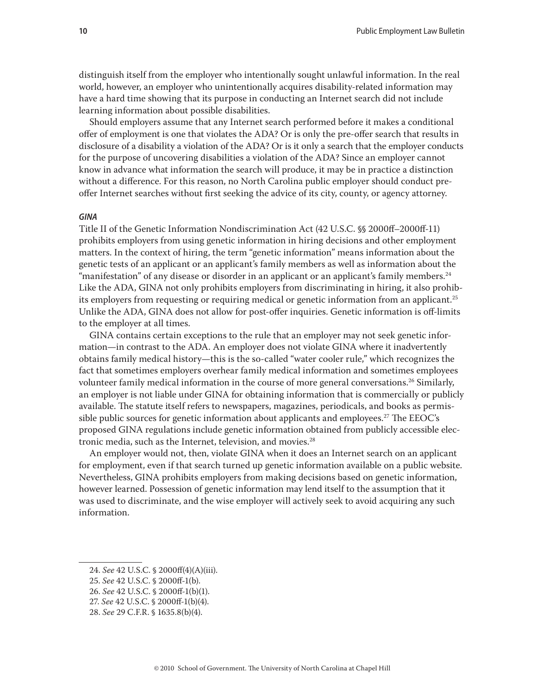distinguish itself from the employer who intentionally sought unlawful information. In the real world, however, an employer who unintentionally acquires disability-related information may have a hard time showing that its purpose in conducting an Internet search did not include learning information about possible disabilities.

Should employers assume that any Internet search performed before it makes a conditional offer of employment is one that violates the ADA? Or is only the pre-offer search that results in disclosure of a disability a violation of the ADA? Or is it only a search that the employer conducts for the purpose of uncovering disabilities a violation of the ADA? Since an employer cannot know in advance what information the search will produce, it may be in practice a distinction without a difference. For this reason, no North Carolina public employer should conduct preoffer Internet searches without first seeking the advice of its city, county, or agency attorney.

## *GINA*

Title II of the Genetic Information Nondiscrimination Act (42 U.S.C. §§ 2000ff–2000ff-11) prohibits employers from using genetic information in hiring decisions and other employment matters. In the context of hiring, the term "genetic information" means information about the genetic tests of an applicant or an applicant's family members as well as information about the "manifestation" of any disease or disorder in an applicant or an applicant's family members.<sup>24</sup> Like the ADA, GINA not only prohibits employers from discriminating in hiring, it also prohibits employers from requesting or requiring medical or genetic information from an applicant.<sup>25</sup> Unlike the ADA, GINA does not allow for post-offer inquiries. Genetic information is off-limits to the employer at all times.

GINA contains certain exceptions to the rule that an employer may not seek genetic information—in contrast to the ADA. An employer does not violate GINA where it inadvertently obtains family medical history—this is the so-called "water cooler rule," which recognizes the fact that sometimes employers overhear family medical information and sometimes employees volunteer family medical information in the course of more general conversations.<sup>26</sup> Similarly, an employer is not liable under GINA for obtaining information that is commercially or publicly available. The statute itself refers to newspapers, magazines, periodicals, and books as permissible public sources for genetic information about applicants and employees.<sup>27</sup> The EEOC's proposed GINA regulations include genetic information obtained from publicly accessible electronic media, such as the Internet, television, and movies.<sup>28</sup>

An employer would not, then, violate GINA when it does an Internet search on an applicant for employment, even if that search turned up genetic information available on a public website. Nevertheless, GINA prohibits employers from making decisions based on genetic information, however learned. Possession of genetic information may lend itself to the assumption that it was used to discriminate, and the wise employer will actively seek to avoid acquiring any such information.

- 26. *See* 42 U.S.C. § 2000ff-1(b)(1).
- 27. *See* 42 U.S.C. § 2000ff-1(b)(4).
- 28. *See* 29 C.F.R. § 1635.8(b)(4).

<sup>24.</sup> *See* 42 U.S.C. § 2000ff(4)(A)(iii).

<sup>25.</sup> *See* 42 U.S.C. § 2000ff-1(b).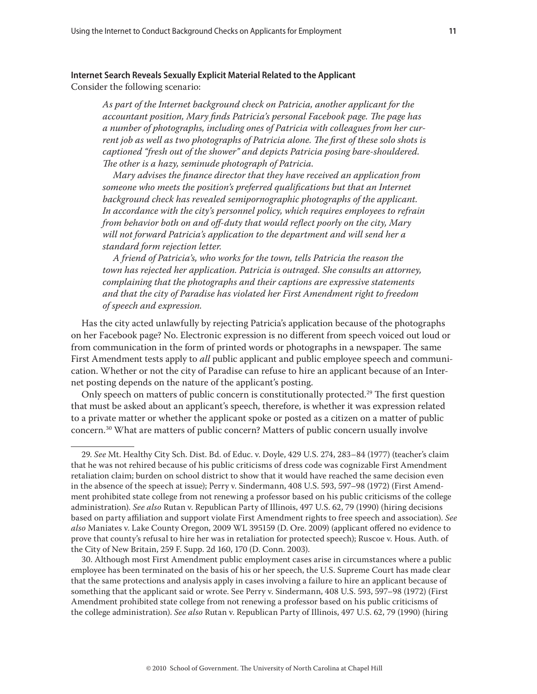## **Internet Search Reveals Sexually Explicit Material Related to the Applicant**

Consider the following scenario:

*As part of the Internet background check on Patricia, another applicant for the accountant position, Mary finds Patricia's personal Facebook page. The page has a number of photographs, including ones of Patricia with colleagues from her current job as well as two photographs of Patricia alone. The first of these solo shots is captioned "fresh out of the shower" and depicts Patricia posing bare-shouldered. The other is a hazy, seminude photograph of Patricia.*

*Mary advises the finance director that they have received an application from someone who meets the position's preferred qualifications but that an Internet background check has revealed semipornographic photographs of the applicant. In accordance with the city's personnel policy, which requires employees to refrain from behavior both on and off-duty that would reflect poorly on the city, Mary will not forward Patricia's application to the department and will send her a standard form rejection letter.*

*A friend of Patricia's, who works for the town, tells Patricia the reason the town has rejected her application. Patricia is outraged. She consults an attorney, complaining that the photographs and their captions are expressive statements and that the city of Paradise has violated her First Amendment right to freedom of speech and expression.*

Has the city acted unlawfully by rejecting Patricia's application because of the photographs on her Facebook page? No. Electronic expression is no different from speech voiced out loud or from communication in the form of printed words or photographs in a newspaper. The same First Amendment tests apply to *all* public applicant and public employee speech and communication. Whether or not the city of Paradise can refuse to hire an applicant because of an Internet posting depends on the nature of the applicant's posting.

Only speech on matters of public concern is constitutionally protected.<sup>29</sup> The first question that must be asked about an applicant's speech, therefore, is whether it was expression related to a private matter or whether the applicant spoke or posted as a citizen on a matter of public concern.30 What are matters of public concern? Matters of public concern usually involve

30. Although most First Amendment public employment cases arise in circumstances where a public employee has been terminated on the basis of his or her speech, the U.S. Supreme Court has made clear that the same protections and analysis apply in cases involving a failure to hire an applicant because of something that the applicant said or wrote. See Perry v. Sindermann, 408 U.S. 593, 597–98 (1972) (First Amendment prohibited state college from not renewing a professor based on his public criticisms of the college administration). *See also* Rutan v. Republican Party of Illinois, 497 U.S. 62, 79 (1990) (hiring

<sup>29.</sup> *See* Mt. Healthy City Sch. Dist. Bd. of Educ. v. Doyle, 429 U.S. 274, 283–84 (1977) (teacher's claim that he was not rehired because of his public criticisms of dress code was cognizable First Amendment retaliation claim; burden on school district to show that it would have reached the same decision even in the absence of the speech at issue); Perry v. Sindermann, 408 U.S. 593, 597–98 (1972) (First Amendment prohibited state college from not renewing a professor based on his public criticisms of the college administration). *See also* Rutan v. Republican Party of Illinois, 497 U.S. 62, 79 (1990) (hiring decisions based on party affiliation and support violate First Amendment rights to free speech and association). *See also* Maniates v. Lake County Oregon, 2009 WL 395159 (D. Ore. 2009) (applicant offered no evidence to prove that county's refusal to hire her was in retaliation for protected speech); Ruscoe v. Hous. Auth. of the City of New Britain, 259 F. Supp. 2d 160, 170 (D. Conn. 2003).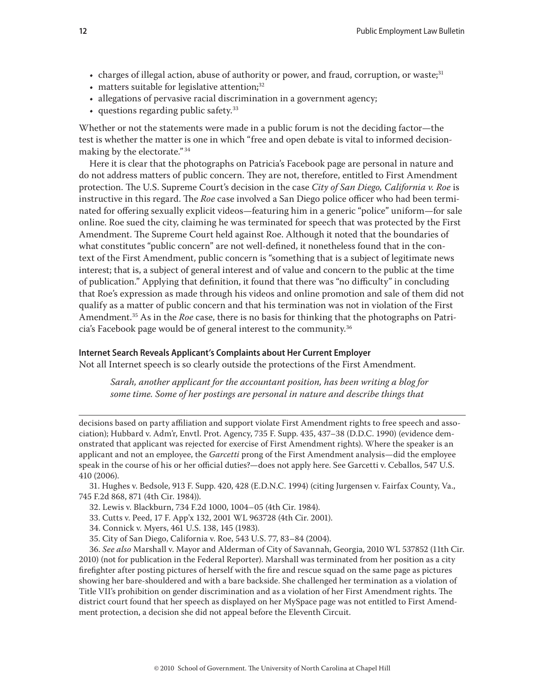- charges of illegal action, abuse of authority or power, and fraud, corruption, or waste;<sup>31</sup>
- $\bullet$  matters suitable for legislative attention;<sup>32</sup>
- allegations of pervasive racial discrimination in a government agency;
- questions regarding public safety.33

Whether or not the statements were made in a public forum is not the deciding factor—the test is whether the matter is one in which "free and open debate is vital to informed decisionmaking by the electorate." <sup>34</sup>

Here it is clear that the photographs on Patricia's Facebook page are personal in nature and do not address matters of public concern. They are not, therefore, entitled to First Amendment protection. The U.S. Supreme Court's decision in the case *City of San Diego, California v. Roe* is instructive in this regard. The *Roe* case involved a San Diego police officer who had been terminated for offering sexually explicit videos—featuring him in a generic "police" uniform—for sale online. Roe sued the city, claiming he was terminated for speech that was protected by the First Amendment. The Supreme Court held against Roe. Although it noted that the boundaries of what constitutes "public concern" are not well-defined, it nonetheless found that in the context of the First Amendment, public concern is "something that is a subject of legitimate news interest; that is, a subject of general interest and of value and concern to the public at the time of publication." Applying that definition, it found that there was "no difficulty" in concluding that Roe's expression as made through his videos and online promotion and sale of them did not qualify as a matter of public concern and that his termination was not in violation of the First Amendment.35 As in the *Roe* case, there is no basis for thinking that the photographs on Patricia's Facebook page would be of general interest to the community.36

## **Internet Search Reveals Applicant's Complaints about Her Current Employer**

Not all Internet speech is so clearly outside the protections of the First Amendment.

*Sarah, another applicant for the accountant position, has been writing a blog for some time. Some of her postings are personal in nature and describe things that* 

decisions based on party affiliation and support violate First Amendment rights to free speech and association); Hubbard v. Adm'r, Envtl. Prot. Agency, 735 F. Supp. 435, 437–38 (D.D.C. 1990) (evidence demonstrated that applicant was rejected for exercise of First Amendment rights). Where the speaker is an applicant and not an employee, the *Garcetti* prong of the First Amendment analysis—did the employee speak in the course of his or her official duties?—does not apply here. See Garcetti v. Ceballos, 547 U.S. 410 (2006).

31. Hughes v. Bedsole, 913 F. Supp. 420, 428 (E.D.N.C. 1994) (citing Jurgensen v. Fairfax County, Va., 745 F.2d 868, 871 (4th Cir. 1984)).

- 32. Lewis v. Blackburn, 734 F.2d 1000, 1004–05 (4th Cir. 1984).
- 33. Cutts v. Peed, 17 F. App'x 132, 2001 WL 963728 (4th Cir. 2001).
- 34. Connick v. Myers, 461 U.S. 138, 145 (1983).
- 35. City of San Diego, California v. Roe, 543 U.S. 77, 83–84 (2004).

36. *See also* Marshall v. Mayor and Alderman of City of Savannah, Georgia, 2010 WL 537852 (11th Cir. 2010) (not for publication in the Federal Reporter). Marshall was terminated from her position as a city firefighter after posting pictures of herself with the fire and rescue squad on the same page as pictures showing her bare-shouldered and with a bare backside. She challenged her termination as a violation of Title VII's prohibition on gender discrimination and as a violation of her First Amendment rights. The district court found that her speech as displayed on her MySpace page was not entitled to First Amendment protection, a decision she did not appeal before the Eleventh Circuit.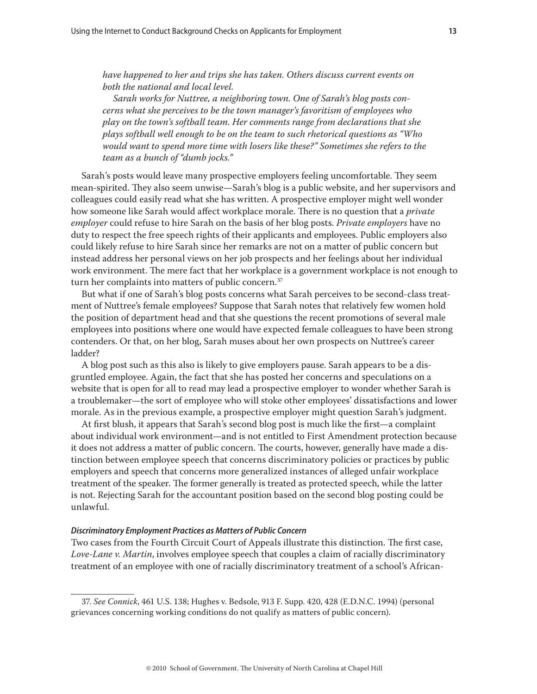*have happened to her and trips she has taken. Others discuss current events on both the national and local level.*

*Sarah works for Nuttree, a neighboring town. One of Sarah's blog posts concerns what she perceives to be the town manager's favoritism of employees who play on the town's softball team. Her comments range from declarations that she plays softball well enough to be on the team to such rhetorical questions as "Who would want to spend more time with losers like these?" Sometimes she refers to the team as a bunch of "dumb jocks."*

Sarah's posts would leave many prospective employers feeling uncomfortable. They seem mean-spirited. They also seem unwise—Sarah's blog is a public website, and her supervisors and colleagues could easily read what she has written. A prospective employer might well wonder how someone like Sarah would affect workplace morale. There is no question that a *private employer* could refuse to hire Sarah on the basis of her blog posts. *Private employers* have no duty to respect the free speech rights of their applicants and employees. Public employers also could likely refuse to hire Sarah since her remarks are not on a matter of public concern but instead address her personal views on her job prospects and her feelings about her individual work environment. The mere fact that her workplace is a government workplace is not enough to turn her complaints into matters of public concern.<sup>37</sup>

But what if one of Sarah's blog posts concerns what Sarah perceives to be second-class treatment of Nuttree's female employees? Suppose that Sarah notes that relatively few women hold the position of department head and that she questions the recent promotions of several male employees into positions where one would have expected female colleagues to have been strong contenders. Or that, on her blog, Sarah muses about her own prospects on Nuttree's career ladder?

A blog post such as this also is likely to give employers pause. Sarah appears to be a disgruntled employee. Again, the fact that she has posted her concerns and speculations on a website that is open for all to read may lead a prospective employer to wonder whether Sarah is a troublemaker—the sort of employee who will stoke other employees' dissatisfactions and lower morale. As in the previous example, a prospective employer might question Sarah's judgment.

At first blush, it appears that Sarah's second blog post is much like the first—a complaint about individual work environment—and is not entitled to First Amendment protection because it does not address a matter of public concern. The courts, however, generally have made a distinction between employee speech that concerns discriminatory policies or practices by public employers and speech that concerns more generalized instances of alleged unfair workplace treatment of the speaker. The former generally is treated as protected speech, while the latter is not. Rejecting Sarah for the accountant position based on the second blog posting could be unlawful.

## *Discriminatory Employment Practices as Matters of Public Concern*

Two cases from the Fourth Circuit Court of Appeals illustrate this distinction. The first case, *Love-Lane v. Martin*, involves employee speech that couples a claim of racially discriminatory treatment of an employee with one of racially discriminatory treatment of a school's African-

<sup>37.</sup> *See Connick*, 461 U.S. 138; Hughes v. Bedsole, 913 F. Supp. 420, 428 (E.D.N.C. 1994) (personal grievances concerning working conditions do not qualify as matters of public concern).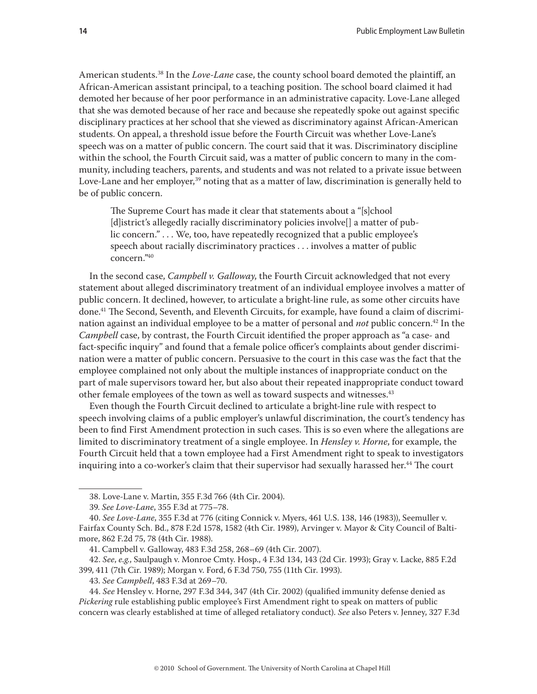American students.38 In the *Love-Lane* case, the county school board demoted the plaintiff, an African-American assistant principal, to a teaching position. The school board claimed it had demoted her because of her poor performance in an administrative capacity. Love-Lane alleged that she was demoted because of her race and because she repeatedly spoke out against specific disciplinary practices at her school that she viewed as discriminatory against African-American students. On appeal, a threshold issue before the Fourth Circuit was whether Love-Lane's speech was on a matter of public concern. The court said that it was. Discriminatory discipline within the school, the Fourth Circuit said, was a matter of public concern to many in the community, including teachers, parents, and students and was not related to a private issue between Love-Lane and her employer,<sup>39</sup> noting that as a matter of law, discrimination is generally held to be of public concern.

The Supreme Court has made it clear that statements about a "[s]chool [d]istrict's allegedly racially discriminatory policies involve[] a matter of public concern." . . . We, too, have repeatedly recognized that a public employee's speech about racially discriminatory practices . . . involves a matter of public concern."40

In the second case, *Campbell v. Galloway*, the Fourth Circuit acknowledged that not every statement about alleged discriminatory treatment of an individual employee involves a matter of public concern. It declined, however, to articulate a bright-line rule, as some other circuits have done.41 The Second, Seventh, and Eleventh Circuits, for example, have found a claim of discrimination against an individual employee to be a matter of personal and *not* public concern.42 In the *Campbell* case, by contrast, the Fourth Circuit identified the proper approach as "a case- and fact-specific inquiry" and found that a female police officer's complaints about gender discrimination were a matter of public concern. Persuasive to the court in this case was the fact that the employee complained not only about the multiple instances of inappropriate conduct on the part of male supervisors toward her, but also about their repeated inappropriate conduct toward other female employees of the town as well as toward suspects and witnesses.<sup>43</sup>

Even though the Fourth Circuit declined to articulate a bright-line rule with respect to speech involving claims of a public employer's unlawful discrimination, the court's tendency has been to find First Amendment protection in such cases. This is so even where the allegations are limited to discriminatory treatment of a single employee. In *Hensley v. Horne*, for example, the Fourth Circuit held that a town employee had a First Amendment right to speak to investigators inquiring into a co-worker's claim that their supervisor had sexually harassed her.<sup>44</sup> The court

<sup>38.</sup> Love-Lane v. Martin, 355 F.3d 766 (4th Cir. 2004).

<sup>39.</sup> *See Love-Lane*, 355 F.3d at 775–78.

<sup>40.</sup> *See Love-Lane*, 355 F.3d at 776 (citing Connick v. Myers, 461 U.S. 138, 146 (1983)), Seemuller v. Fairfax County Sch. Bd., 878 F.2d 1578, 1582 (4th Cir. 1989), Arvinger v. Mayor & City Council of Baltimore, 862 F.2d 75, 78 (4th Cir. 1988).

<sup>41.</sup> Campbell v. Galloway, 483 F.3d 258, 268–69 (4th Cir. 2007).

<sup>42.</sup> *See*, *e.g.*, Saulpaugh v. Monroe Cmty. Hosp., 4 F.3d 134, 143 (2d Cir. 1993); Gray v. Lacke, 885 F.2d 399, 411 (7th Cir. 1989); Morgan v. Ford, 6 F.3d 750, 755 (11th Cir. 1993).

<sup>43.</sup> *See Campbell*, 483 F.3d at 269–70.

<sup>44.</sup> *See* Hensley v. Horne, 297 F.3d 344, 347 (4th Cir. 2002) (qualified immunity defense denied as *Pickering* rule establishing public employee's First Amendment right to speak on matters of public concern was clearly established at time of alleged retaliatory conduct). *See* also Peters v. Jenney, 327 F.3d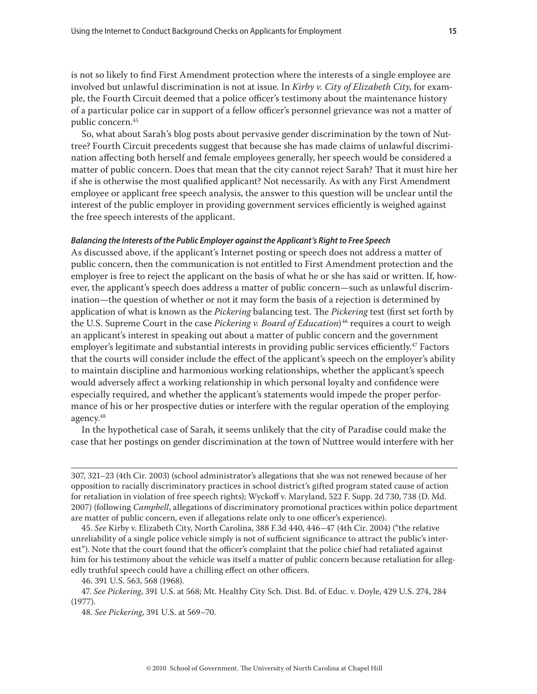is not so likely to find First Amendment protection where the interests of a single employee are involved but unlawful discrimination is not at issue. In *Kirby v. City of Elizabeth City*, for example, the Fourth Circuit deemed that a police officer's testimony about the maintenance history of a particular police car in support of a fellow officer's personnel grievance was not a matter of public concern.45

So, what about Sarah's blog posts about pervasive gender discrimination by the town of Nuttree? Fourth Circuit precedents suggest that because she has made claims of unlawful discrimination affecting both herself and female employees generally, her speech would be considered a matter of public concern. Does that mean that the city cannot reject Sarah? That it must hire her if she is otherwise the most qualified applicant? Not necessarily. As with any First Amendment employee or applicant free speech analysis, the answer to this question will be unclear until the interest of the public employer in providing government services efficiently is weighed against the free speech interests of the applicant.

## *Balancing the Interests of the Public Employer against the Applicant's Right to Free Speech*

As discussed above, if the applicant's Internet posting or speech does not address a matter of public concern, then the communication is not entitled to First Amendment protection and the employer is free to reject the applicant on the basis of what he or she has said or written. If, however, the applicant's speech does address a matter of public concern—such as unlawful discrimination—the question of whether or not it may form the basis of a rejection is determined by application of what is known as the *Pickering* balancing test. The *Pickering* test (first set forth by the U.S. Supreme Court in the case *Pickering v. Board of Education*<sup>46</sup> requires a court to weigh an applicant's interest in speaking out about a matter of public concern and the government employer's legitimate and substantial interests in providing public services efficiently.<sup>47</sup> Factors that the courts will consider include the effect of the applicant's speech on the employer's ability to maintain discipline and harmonious working relationships, whether the applicant's speech would adversely affect a working relationship in which personal loyalty and confidence were especially required, and whether the applicant's statements would impede the proper performance of his or her prospective duties or interfere with the regular operation of the employing agency.48

In the hypothetical case of Sarah, it seems unlikely that the city of Paradise could make the case that her postings on gender discrimination at the town of Nuttree would interfere with her

<sup>307, 321–23 (4</sup>th Cir. 2003) (school administrator's allegations that she was not renewed because of her opposition to racially discriminatory practices in school district's gifted program stated cause of action for retaliation in violation of free speech rights); Wyckoff v. Maryland, 522 F. Supp. 2d 730, 738 (D. Md. 2007) (following *Campbell*, allegations of discriminatory promotional practices within police department are matter of public concern, even if allegations relate only to one officer's experience).

<sup>45.</sup> *See* Kirby v. Elizabeth City, North Carolina, 388 F.3d 440, 446–47 (4th Cir. 2004) ("the relative unreliability of a single police vehicle simply is not of sufficient significance to attract the public's interest"). Note that the court found that the officer's complaint that the police chief had retaliated against him for his testimony about the vehicle was itself a matter of public concern because retaliation for allegedly truthful speech could have a chilling effect on other officers.

<sup>46. 391</sup> U.S. 563, 568 (1968).

<sup>47.</sup> *See Pickering*, 391 U.S. at 568; Mt. Healthy City Sch. Dist. Bd. of Educ. v. Doyle, 429 U.S. 274, 284 (1977).

<sup>48.</sup> *See Pickering*, 391 U.S. at 569–70.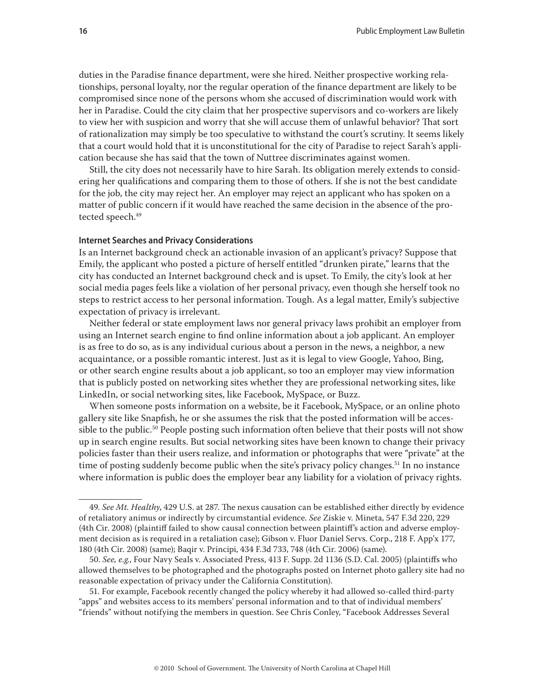duties in the Paradise finance department, were she hired. Neither prospective working relationships, personal loyalty, nor the regular operation of the finance department are likely to be compromised since none of the persons whom she accused of discrimination would work with her in Paradise. Could the city claim that her prospective supervisors and co-workers are likely to view her with suspicion and worry that she will accuse them of unlawful behavior? That sort of rationalization may simply be too speculative to withstand the court's scrutiny. It seems likely that a court would hold that it is unconstitutional for the city of Paradise to reject Sarah's application because she has said that the town of Nuttree discriminates against women.

Still, the city does not necessarily have to hire Sarah. Its obligation merely extends to considering her qualifications and comparing them to those of others. If she is not the best candidate for the job, the city may reject her. An employer may reject an applicant who has spoken on a matter of public concern if it would have reached the same decision in the absence of the protected speech.<sup>49</sup>

## **Internet Searches and Privacy Considerations**

Is an Internet background check an actionable invasion of an applicant's privacy? Suppose that Emily, the applicant who posted a picture of herself entitled "drunken pirate," learns that the city has conducted an Internet background check and is upset. To Emily, the city's look at her social media pages feels like a violation of her personal privacy, even though she herself took no steps to restrict access to her personal information. Tough. As a legal matter, Emily's subjective expectation of privacy is irrelevant.

Neither federal or state employment laws nor general privacy laws prohibit an employer from using an Internet search engine to find online information about a job applicant. An employer is as free to do so, as is any individual curious about a person in the news, a neighbor, a new acquaintance, or a possible romantic interest. Just as it is legal to view Google, Yahoo, Bing, or other search engine results about a job applicant, so too an employer may view information that is publicly posted on networking sites whether they are professional networking sites, like LinkedIn, or social networking sites, like Facebook, MySpace, or Buzz.

When someone posts information on a website, be it Facebook, MySpace, or an online photo gallery site like Snapfish, he or she assumes the risk that the posted information will be accessible to the public.<sup>50</sup> People posting such information often believe that their posts will not show up in search engine results. But social networking sites have been known to change their privacy policies faster than their users realize, and information or photographs that were "private" at the time of posting suddenly become public when the site's privacy policy changes.<sup>51</sup> In no instance where information is public does the employer bear any liability for a violation of privacy rights.

51. For example, Facebook recently changed the policy whereby it had allowed so-called third-party "apps" and websites access to its members' personal information and to that of individual members' "friends" without notifying the members in question. See Chris Conley, "Facebook Addresses Several

<sup>49.</sup> *See Mt. Healthy*, 429 U.S. at 287. The nexus causation can be established either directly by evidence of retaliatory animus or indirectly by circumstantial evidence. *See* Ziskie v. Mineta, 547 F.3d 220, 229 (4th Cir. 2008) (plaintiff failed to show causal connection between plaintiff's action and adverse employment decision as is required in a retaliation case); Gibson v. Fluor Daniel Servs. Corp., 218 F. App'x 177, 180 (4th Cir. 2008) (same); Baqir v. Principi, 434 F.3d 733, 748 (4th Cir. 2006) (same).

<sup>50.</sup> *See, e.g.*, Four Navy Seals v. Associated Press, 413 F. Supp. 2d 1136 (S.D. Cal. 2005) (plaintiffs who allowed themselves to be photographed and the photographs posted on Internet photo gallery site had no reasonable expectation of privacy under the California Constitution).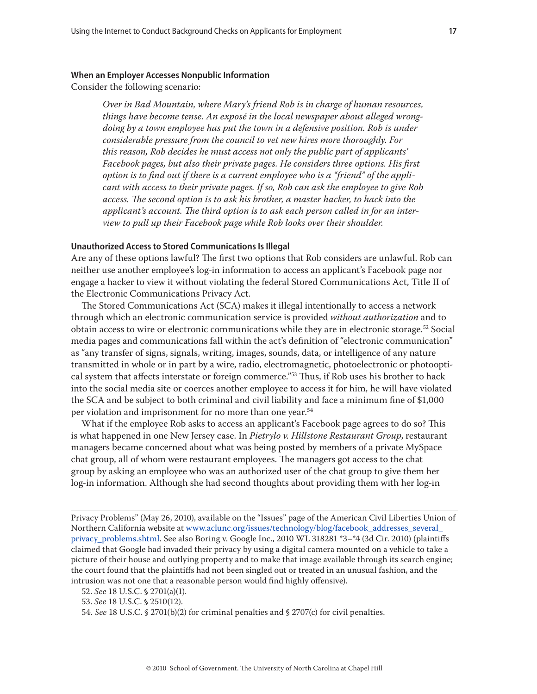### **When an Employer Accesses Nonpublic Information**

Consider the following scenario:

*Over in Bad Mountain, where Mary's friend Rob is in charge of human resources, things have become tense. An exposé in the local newspaper about alleged wrongdoing by a town employee has put the town in a defensive position. Rob is under considerable pressure from the council to vet new hires more thoroughly. For this reason, Rob decides he must access not only the public part of applicants' Facebook pages, but also their private pages. He considers three options. His first option is to find out if there is a current employee who is a "friend" of the applicant with access to their private pages. If so, Rob can ask the employee to give Rob access. The second option is to ask his brother, a master hacker, to hack into the applicant's account. The third option is to ask each person called in for an interview to pull up their Facebook page while Rob looks over their shoulder.*

## **Unauthorized Access to Stored Communications Is Illegal**

Are any of these options lawful? The first two options that Rob considers are unlawful. Rob can neither use another employee's log-in information to access an applicant's Facebook page nor engage a hacker to view it without violating the federal Stored Communications Act, Title II of the Electronic Communications Privacy Act.

The Stored Communications Act (SCA) makes it illegal intentionally to access a network through which an electronic communication service is provided *without authorization* and to obtain access to wire or electronic communications while they are in electronic storage.52 Social media pages and communications fall within the act's definition of "electronic communication" as "any transfer of signs, signals, writing, images, sounds, data, or intelligence of any nature transmitted in whole or in part by a wire, radio, electromagnetic, photoelectronic or photooptical system that affects interstate or foreign commerce."<sup>53</sup> Thus, if Rob uses his brother to hack into the social media site or coerces another employee to access it for him, he will have violated the SCA and be subject to both criminal and civil liability and face a minimum fine of \$1,000 per violation and imprisonment for no more than one year.<sup>54</sup>

What if the employee Rob asks to access an applicant's Facebook page agrees to do so? This is what happened in one New Jersey case. In *Pietrylo v. Hillstone Restaurant Group*, restaurant managers became concerned about what was being posted by members of a private MySpace chat group, all of whom were restaurant employees. The managers got access to the chat group by asking an employee who was an authorized user of the chat group to give them her log-in information. Although she had second thoughts about providing them with her log-in

Privacy Problems" (May 26, 2010), available on the "Issues" page of the American Civil Liberties Union of Northern California website at [www.aclunc.org/issues/technology/blog/facebook\\_addresses\\_several\\_](www.aclunc.org/issues/technology/blog/facebook_addresses_several_ privacy_problems.shtml) [privacy\\_problems.shtml](www.aclunc.org/issues/technology/blog/facebook_addresses_several_ privacy_problems.shtml). See also Boring v. Google Inc., 2010 WL 318281 \*3–\*4 (3d Cir. 2010) (plaintiffs claimed that Google had invaded their privacy by using a digital camera mounted on a vehicle to take a picture of their house and outlying property and to make that image available through its search engine; the court found that the plaintiffs had not been singled out or treated in an unusual fashion, and the intrusion was not one that a reasonable person would find highly offensive).

<sup>52.</sup> *See* 18 U.S.C. § 2701(a)(1).

<sup>53.</sup> *See* 18 U.S.C. § 2510(12).

<sup>54.</sup> *See* 18 U.S.C. § 2701(b)(2) for criminal penalties and § 2707(c) for civil penalties.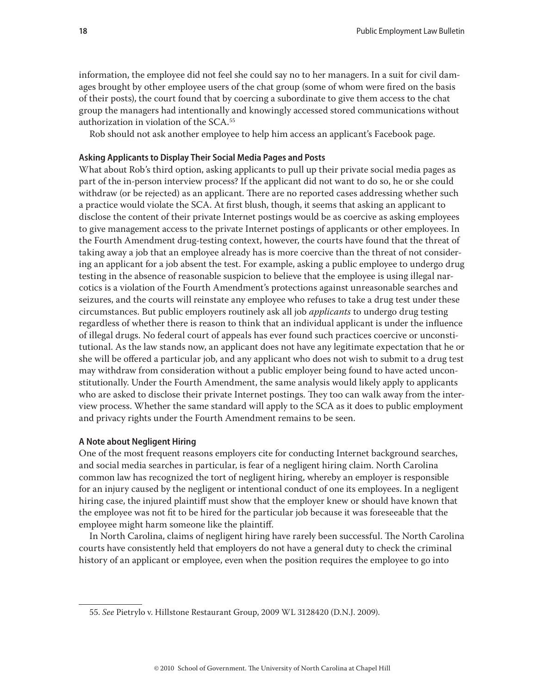information, the employee did not feel she could say no to her managers. In a suit for civil damages brought by other employee users of the chat group (some of whom were fired on the basis of their posts), the court found that by coercing a subordinate to give them access to the chat group the managers had intentionally and knowingly accessed stored communications without authorization in violation of the SCA.55

Rob should not ask another employee to help him access an applicant's Facebook page.

## **Asking Applicants to Display Their Social Media Pages and Posts**

What about Rob's third option, asking applicants to pull up their private social media pages as part of the in-person interview process? If the applicant did not want to do so, he or she could withdraw (or be rejected) as an applicant. There are no reported cases addressing whether such a practice would violate the SCA. At first blush, though, it seems that asking an applicant to disclose the content of their private Internet postings would be as coercive as asking employees to give management access to the private Internet postings of applicants or other employees. In the Fourth Amendment drug-testing context, however, the courts have found that the threat of taking away a job that an employee already has is more coercive than the threat of not considering an applicant for a job absent the test. For example, asking a public employee to undergo drug testing in the absence of reasonable suspicion to believe that the employee is using illegal narcotics is a violation of the Fourth Amendment's protections against unreasonable searches and seizures, and the courts will reinstate any employee who refuses to take a drug test under these circumstances. But public employers routinely ask all job *applicants* to undergo drug testing regardless of whether there is reason to think that an individual applicant is under the influence of illegal drugs. No federal court of appeals has ever found such practices coercive or unconstitutional. As the law stands now, an applicant does not have any legitimate expectation that he or she will be offered a particular job, and any applicant who does not wish to submit to a drug test may withdraw from consideration without a public employer being found to have acted unconstitutionally. Under the Fourth Amendment, the same analysis would likely apply to applicants who are asked to disclose their private Internet postings. They too can walk away from the interview process. Whether the same standard will apply to the SCA as it does to public employment and privacy rights under the Fourth Amendment remains to be seen.

## **A Note about Negligent Hiring**

One of the most frequent reasons employers cite for conducting Internet background searches, and social media searches in particular, is fear of a negligent hiring claim. North Carolina common law has recognized the tort of negligent hiring, whereby an employer is responsible for an injury caused by the negligent or intentional conduct of one its employees. In a negligent hiring case, the injured plaintiff must show that the employer knew or should have known that the employee was not fit to be hired for the particular job because it was foreseeable that the employee might harm someone like the plaintiff.

In North Carolina, claims of negligent hiring have rarely been successful. The North Carolina courts have consistently held that employers do not have a general duty to check the criminal history of an applicant or employee, even when the position requires the employee to go into

<sup>55.</sup> *See* Pietrylo v. Hillstone Restaurant Group, 2009 WL 3128420 (D.N.J. 2009).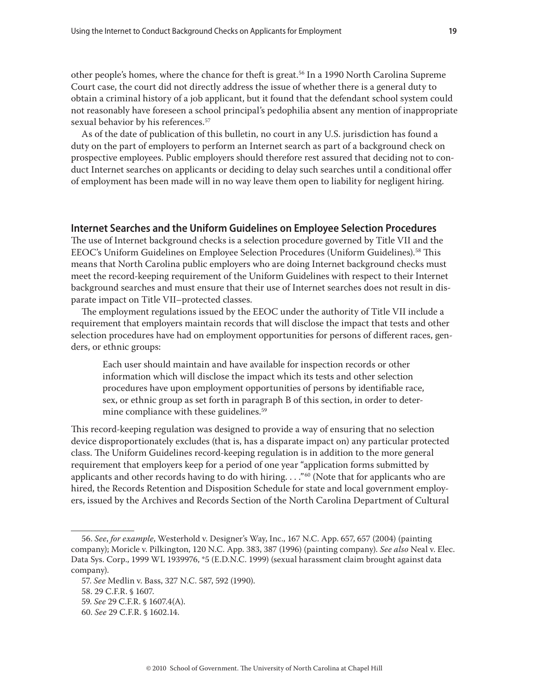other people's homes, where the chance for theft is great.56 In a 1990 North Carolina Supreme Court case, the court did not directly address the issue of whether there is a general duty to obtain a criminal history of a job applicant, but it found that the defendant school system could not reasonably have foreseen a school principal's pedophilia absent any mention of inappropriate sexual behavior by his references.<sup>57</sup>

As of the date of publication of this bulletin, no court in any U.S. jurisdiction has found a duty on the part of employers to perform an Internet search as part of a background check on prospective employees. Public employers should therefore rest assured that deciding not to conduct Internet searches on applicants or deciding to delay such searches until a conditional offer of employment has been made will in no way leave them open to liability for negligent hiring.

## **Internet Searches and the Uniform Guidelines on Employee Selection Procedures**

The use of Internet background checks is a selection procedure governed by Title VII and the EEOC's Uniform Guidelines on Employee Selection Procedures (Uniform Guidelines).58 This means that North Carolina public employers who are doing Internet background checks must meet the record-keeping requirement of the Uniform Guidelines with respect to their Internet background searches and must ensure that their use of Internet searches does not result in disparate impact on Title VII–protected classes.

The employment regulations issued by the EEOC under the authority of Title VII include a requirement that employers maintain records that will disclose the impact that tests and other selection procedures have had on employment opportunities for persons of different races, genders, or ethnic groups:

Each user should maintain and have available for inspection records or other information which will disclose the impact which its tests and other selection procedures have upon employment opportunities of persons by identifiable race, sex, or ethnic group as set forth in paragraph B of this section, in order to determine compliance with these guidelines.<sup>59</sup>

This record-keeping regulation was designed to provide a way of ensuring that no selection device disproportionately excludes (that is, has a disparate impact on) any particular protected class. The Uniform Guidelines record-keeping regulation is in addition to the more general requirement that employers keep for a period of one year "application forms submitted by applicants and other records having to do with hiring. . . ."<sup>60</sup> (Note that for applicants who are hired, the Records Retention and Disposition Schedule for state and local government employers, issued by the Archives and Records Section of the North Carolina Department of Cultural

<sup>56.</sup> *See*, *for example*, Westerhold v. Designer's Way, Inc., 167 N.C. App. 657, 657 (2004) (painting company); Moricle v. Pilkington, 120 N.C. App. 383, 387 (1996) (painting company). *See also* Neal v. Elec. Data Sys. Corp., 1999 WL 1939976, \*5 (E.D.N.C. 1999) (sexual harassment claim brought against data company).

<sup>57.</sup> *See* Medlin v. Bass, 327 N.C. 587, 592 (1990).

<sup>58. 29</sup> C.F.R. § 1607.

<sup>59.</sup> *See* 29 C.F.R. § 1607.4(A).

<sup>60.</sup> *See* 29 C.F.R. § 1602.14.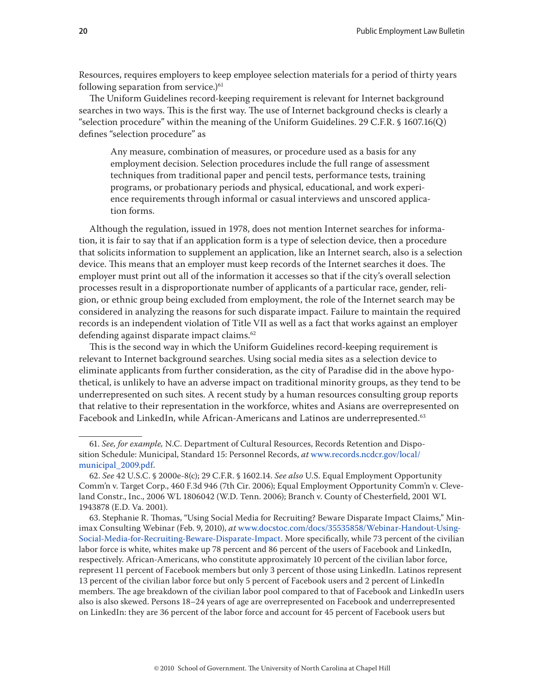Resources, requires employers to keep employee selection materials for a period of thirty years following separation from service.) $61$ 

The Uniform Guidelines record-keeping requirement is relevant for Internet background searches in two ways. This is the first way. The use of Internet background checks is clearly a "selection procedure" within the meaning of the Uniform Guidelines. 29 C.F.R. § 1607.16(Q) defines "selection procedure" as

Any measure, combination of measures, or procedure used as a basis for any employment decision. Selection procedures include the full range of assessment techniques from traditional paper and pencil tests, performance tests, training programs, or probationary periods and physical, educational, and work experience requirements through informal or casual interviews and unscored application forms.

Although the regulation, issued in 1978, does not mention Internet searches for information, it is fair to say that if an application form is a type of selection device, then a procedure that solicits information to supplement an application, like an Internet search, also is a selection device. This means that an employer must keep records of the Internet searches it does. The employer must print out all of the information it accesses so that if the city's overall selection processes result in a disproportionate number of applicants of a particular race, gender, religion, or ethnic group being excluded from employment, the role of the Internet search may be considered in analyzing the reasons for such disparate impact. Failure to maintain the required records is an independent violation of Title VII as well as a fact that works against an employer defending against disparate impact claims.<sup>62</sup>

This is the second way in which the Uniform Guidelines record-keeping requirement is relevant to Internet background searches. Using social media sites as a selection device to eliminate applicants from further consideration, as the city of Paradise did in the above hypothetical, is unlikely to have an adverse impact on traditional minority groups, as they tend to be underrepresented on such sites. A recent study by a human resources consulting group reports that relative to their representation in the workforce, whites and Asians are overrepresented on Facebook and LinkedIn, while African-Americans and Latinos are underrepresented.<sup>63</sup>

63. Stephanie R. Thomas, "Using Social Media for Recruiting? Beware Disparate Impact Claims," Minimax Consulting Webinar (Feb. 9, 2010), *at* [www.docstoc.com/docs/35535858/Webinar-Handout-Using-](www.docstoc.com/docs/35535858/Webinar-Handout-Using-Social-Media-for-Recruiting-Beware-Disparate-Impact)[Social-Media-for-Recruiting-Beware-Disparate-Impact](www.docstoc.com/docs/35535858/Webinar-Handout-Using-Social-Media-for-Recruiting-Beware-Disparate-Impact). More specifically, while 73 percent of the civilian labor force is white, whites make up 78 percent and 86 percent of the users of Facebook and LinkedIn, respectively. African-Americans, who constitute approximately 10 percent of the civilian labor force, represent 11 percent of Facebook members but only 3 percent of those using LinkedIn. Latinos represent 13 percent of the civilian labor force but only 5 percent of Facebook users and 2 percent of LinkedIn members. The age breakdown of the civilian labor pool compared to that of Facebook and LinkedIn users also is also skewed. Persons 18–24 years of age are overrepresented on Facebook and underrepresented on LinkedIn: they are 36 percent of the labor force and account for 45 percent of Facebook users but

<sup>61.</sup> *See, for example,* N.C. Department of Cultural Resources, Records Retention and Disposition Schedule: Municipal, Standard 15: Personnel Records, *at* [www.records.ncdcr.gov/local/](www.records.ncdcr.gov/local/municipal_2009.pdf) [municipal\\_2009.pdf.](www.records.ncdcr.gov/local/municipal_2009.pdf)

<sup>62.</sup> *See* 42 U.S.C. § 2000e-8(c); 29 C.F.R. § 1602.14. *See also* U.S. Equal Employment Opportunity Comm'n v. Target Corp., 460 F.3d 946 (7th Cir. 2006); Equal Employment Opportunity Comm'n v. Cleveland Constr., Inc., 2006 WL 1806042 (W.D. Tenn. 2006); Branch v. County of Chesterfield, 2001 WL 1943878 (E.D. Va. 2001).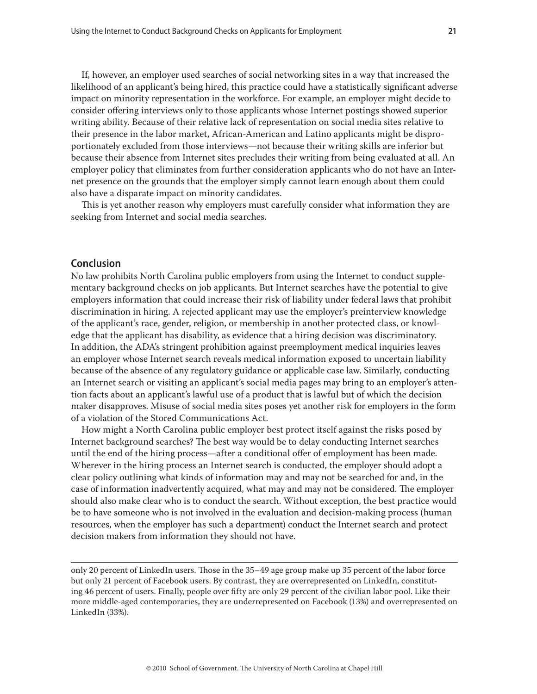If, however, an employer used searches of social networking sites in a way that increased the likelihood of an applicant's being hired, this practice could have a statistically significant adverse impact on minority representation in the workforce. For example, an employer might decide to consider offering interviews only to those applicants whose Internet postings showed superior writing ability. Because of their relative lack of representation on social media sites relative to their presence in the labor market, African-American and Latino applicants might be disproportionately excluded from those interviews—not because their writing skills are inferior but because their absence from Internet sites precludes their writing from being evaluated at all. An employer policy that eliminates from further consideration applicants who do not have an Internet presence on the grounds that the employer simply cannot learn enough about them could also have a disparate impact on minority candidates.

This is yet another reason why employers must carefully consider what information they are seeking from Internet and social media searches.

## **Conclusion**

No law prohibits North Carolina public employers from using the Internet to conduct supplementary background checks on job applicants. But Internet searches have the potential to give employers information that could increase their risk of liability under federal laws that prohibit discrimination in hiring. A rejected applicant may use the employer's preinterview knowledge of the applicant's race, gender, religion, or membership in another protected class, or knowledge that the applicant has disability, as evidence that a hiring decision was discriminatory. In addition, the ADA's stringent prohibition against preemployment medical inquiries leaves an employer whose Internet search reveals medical information exposed to uncertain liability because of the absence of any regulatory guidance or applicable case law. Similarly, conducting an Internet search or visiting an applicant's social media pages may bring to an employer's attention facts about an applicant's lawful use of a product that is lawful but of which the decision maker disapproves. Misuse of social media sites poses yet another risk for employers in the form of a violation of the Stored Communications Act.

How might a North Carolina public employer best protect itself against the risks posed by Internet background searches? The best way would be to delay conducting Internet searches until the end of the hiring process—after a conditional offer of employment has been made. Wherever in the hiring process an Internet search is conducted, the employer should adopt a clear policy outlining what kinds of information may and may not be searched for and, in the case of information inadvertently acquired, what may and may not be considered. The employer should also make clear who is to conduct the search. Without exception, the best practice would be to have someone who is not involved in the evaluation and decision-making process (human resources, when the employer has such a department) conduct the Internet search and protect decision makers from information they should not have.

only 20 percent of LinkedIn users. Those in the 35–49 age group make up 35 percent of the labor force but only 21 percent of Facebook users. By contrast, they are overrepresented on LinkedIn, constituting 46 percent of users. Finally, people over fifty are only 29 percent of the civilian labor pool. Like their more middle-aged contemporaries, they are underrepresented on Facebook (13%) and overrepresented on LinkedIn (33%).